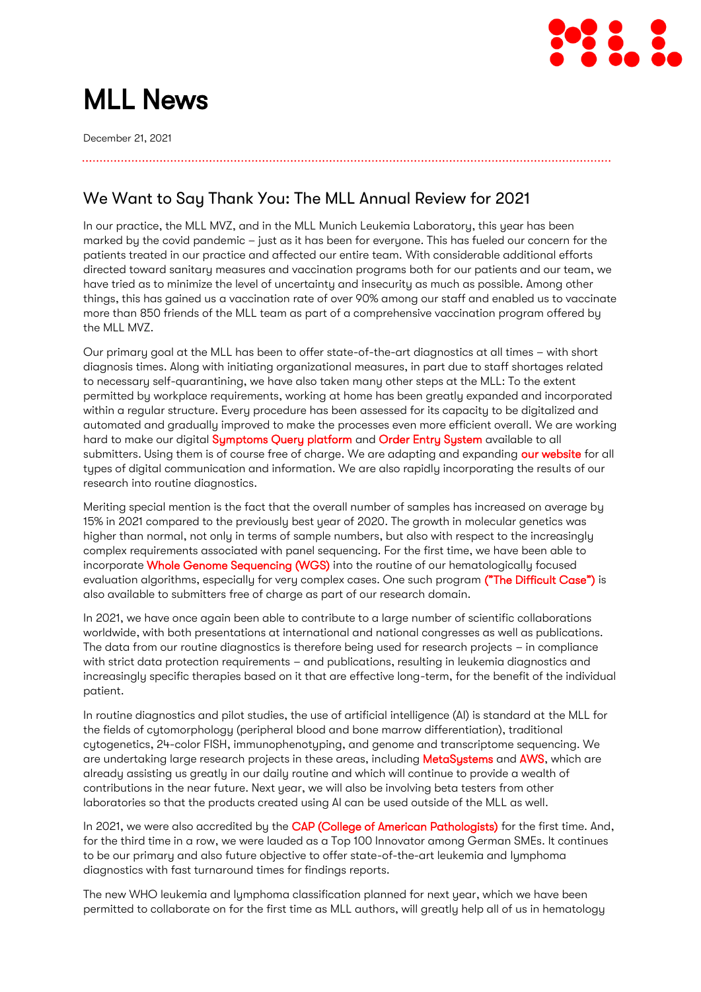

# MLL News

December 21, 2021

# We Want to Say Thank You: The MLL Annual Review for 2021

In our practice, the MLL MVZ, and in the MLL Munich Leukemia Laboratory, this year has been marked by the covid pandemic – just as it has been for everyone. This has fueled our concern for the patients treated in our practice and affected our entire team. With considerable additional efforts directed toward sanitary measures and vaccination programs both for our patients and our team, we have tried as to minimize the level of uncertainty and insecurity as much as possible. Among other things, this has gained us a vaccination rate of over 90% among our staff and enabled us to vaccinate more than 850 friends of the MLL team as part of a comprehensive vaccination program offered by the MLL MVZ.

Our primary goal at the MLL has been to offer state-of-the-art diagnostics at all times – with short diagnosis times. Along with initiating organizational measures, in part due to staff shortages related to necessary self-quarantining, we have also taken many other steps at the MLL: To the extent permitted by workplace requirements, working at home has been greatly expanded and incorporated within a regular structure. Every procedure has been assessed for its capacity to be digitalized and automated and gradually improved to make the processes even more efficient overall. We are working hard to make our digital [Symptoms Query platform](http://www.mll.com/befundportal) and [Order Entry System](http://www.mll.com/orderentry) available to all submitters. Using them is of course free of charge. We are adapting and expanding [our website](https://www.mll.com/en.html) for all types of digital communication and information. We are also rapidly incorporating the results of our research into routine diagnostics.

Meriting special mention is the fact that the overall number of samples has increased on average by 15% in 2021 compared to the previously best year of 2020. The growth in molecular genetics was higher than normal, not only in terms of sample numbers, but also with respect to the increasingly complex requirements associated with panel sequencing. For the first time, we have been able to incorporate [Whole Genome Sequencing \(WGS\)](https://www.mll.com/wissenschaft/diagnostik-der-zukunft.html) into the routine of our hematologically focused evaluation algorithms, especially for very complex cases. One such program [\("The Difficult Case"\)](https://www.mll.com/aktuelles/magazin/mll-aktuell/diagnostik/der-schwierige-fall-wie-die-diagnostik-von-morgen-aussehen-wird.html) is also available to submitters free of charge as part of our research domain.

In 2021, we have once again been able to contribute to a large number of scientific collaborations worldwide, with both presentations at international and national congresses as well as publications. The data from our routine diagnostics is therefore being used for research projects – in compliance with strict data protection requirements – and publications, resulting in leukemia diagnostics and increasingly specific therapies based on it that are effective long-term, for the benefit of the individual patient.

In routine diagnostics and pilot studies, the use of artificial intelligence (AI) is standard at the MLL for the fields of cytomorphology (peripheral blood and bone marrow differentiation), traditional cytogenetics, 24-color FISH, immunophenotyping, and genome and transcriptome sequencing. We are undertaking large research projects in these areas, including [MetaSystems](https://metasystems-international.com/) an[d AWS,](https://aws.amazon.com/de/?nc2=h_lg&aws-products-analytics.sort-by=item.additionalFields.productNameLowercase&aws-products-analytics.sort-order=asc&aws-products-business-apps.sort-by=item.additionalFields.productNameLowercase&aws-products-business-apps.sort-order=asc&aws-products-containers.sort-by=item.additionalFields.productNameLowercase&aws-products-containers.sort-order=asc&aws-products-compute.sort-by=item.additionalFields.productNameLowercase&aws-products-compute.sort-order=asc&aws-products-databases.sort-by=item.additionalFields.productNameLowercase&aws-products-databases.sort-order=asc&aws-products-fe-mobile.sort-by=item.additionalFields.productNameLowercase&aws-products-fe-mobile.sort-order=asc&aws-products-game-tech.sort-by=item.additionalFields.productNameLowercase&aws-products-game-tech.sort-order=asc&aws-products-iot.sort-by=item.additionalFields.productNameLowercase&aws-products-iot.sort-order=asc&aws-products-ml.sort-by=item.additionalFields.productNameLowercase&aws-products-ml.sort-order=asc&aws-products-mgmt-govern.sort-by=item.additionalFields.productNameLowercase&aws-products-mgmt-govern.sort-order=asc&aws-products-migration.sort-by=item.additionalFields.productNameLowercase&aws-products-migration.sort-order=asc&aws-products-network.sort-by=item.additionalFields.productNameLowercase&aws-products-network.sort-order=asc&aws-products-security.sort-by=item.additionalFields.productNameLowercase&aws-products-security.sort-order=asc&aws-products-storage.sort-by=item.additionalFields.productNameLowercase&aws-products-storage.sort-order=asc) which are already assisting us greatly in our daily routine and which will continue to provide a wealth of contributions in the near future. Next year, we will also be involving beta testers from other laboratories so that the products created using AI can be used outside of the MLL as well.

In 2021, we were also accredited by the [CAP \(College of American Pathologists\)](https://www.cap.org/) for the first time. And, for the third time in a row, we were lauded as a Top 100 Innovator among German SMEs. It continues to be our primary and also future objective to offer state-of-the-art leukemia and lymphoma diagnostics with fast turnaround times for findings reports.

The new WHO leukemia and lymphoma classification planned for next year, which we have been permitted to collaborate on for the first time as MLL authors, will greatly help all of us in hematology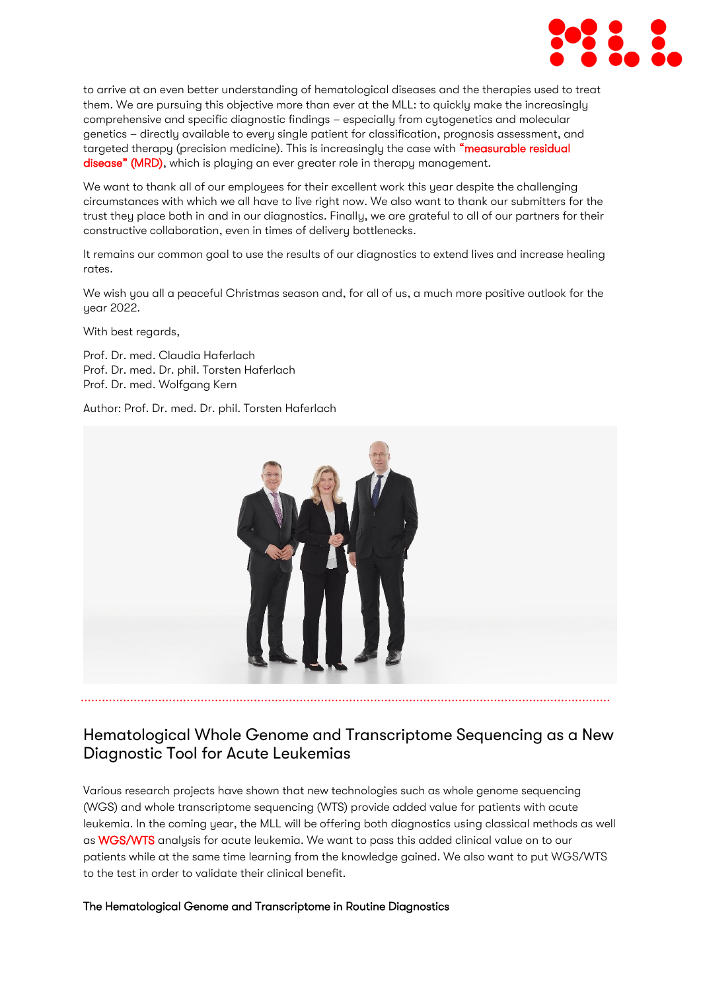

to arrive at an even better understanding of hematological diseases and the therapies used to treat them. We are pursuing this objective more than ever at the MLL: to quickly make the increasingly comprehensive and specific diagnostic findings – especially from cytogenetics and molecular genetics – directly available to every single patient for classification, prognosis assessment, and targeted therapy (precision medicine). This is increasingly the case with "measurable residual [disease" \(MRD\)](https://www.mll.com/methoden/messbare-resterkrankung-mrd.html), which is playing an ever greater role in therapy management.

We want to thank all of our employees for their excellent work this year despite the challenging circumstances with which we all have to live right now. We also want to thank our submitters for the trust they place both in and in our diagnostics. Finally, we are grateful to all of our partners for their constructive collaboration, even in times of delivery bottlenecks.

It remains our common goal to use the results of our diagnostics to extend lives and increase healing rates.

We wish you all a peaceful Christmas season and, for all of us, a much more positive outlook for the year 2022.

With best regards,

Prof. Dr. med. Claudia Haferlach Prof. Dr. med. Dr. phil. Torsten Haferlach Prof. Dr. med. Wolfgang Kern

Author: Prof. Dr. med. Dr. phil. Torsten Haferlach



# Hematological Whole Genome and Transcriptome Sequencing as a New Diagnostic Tool for Acute Leukemias

Various research projects have shown that new technologies such as whole genome sequencing (WGS) and whole transcriptome sequencing (WTS) provide added value for patients with acute leukemia. In the coming year, the MLL will be offering both diagnostics using classical methods as well a[s WGS/WTS](https://www.mll.com/wissenschaft/diagnostik-der-zukunft.html) analysis for acute leukemia. We want to pass this added clinical value on to our patients while at the same time learning from the knowledge gained. We also want to put WGS/WTS to the test in order to validate their clinical benefit.

#### The Hematological Genome and Transcriptome in Routine Diagnostics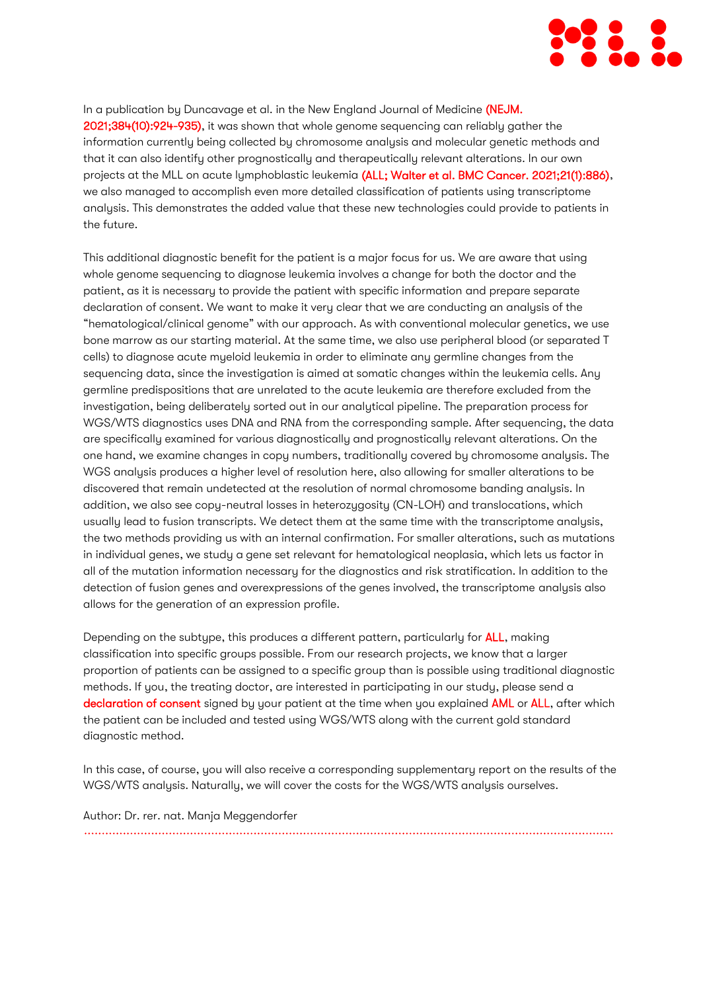

In a publication by Duncavage et al. in the New England Journal of Medicine (NEJM. [2021;384\(10\):924-935\),](https://www.nejm.org/doi/full/10.1056/NEJMoa2024534) it was shown that whole genome sequencing can reliably gather the information currently being collected by chromosome analysis and molecular genetic methods and that it can also identify other prognostically and therapeutically relevant alterations. In our own projects at the MLL on acute lymphoblastic leukemia [\(ALL; Walter et al. BMC Cancer. 2021;21\(1\):886\),](https://bmccancer.biomedcentral.com/articles/10.1186/s12885-021-08635-5) we also managed to accomplish even more detailed classification of patients using transcriptome analysis. This demonstrates the added value that these new technologies could provide to patients in the future.

This additional diagnostic benefit for the patient is a major focus for us. We are aware that using whole genome sequencing to diagnose leukemia involves a change for both the doctor and the patient, as it is necessary to provide the patient with specific information and prepare separate declaration of consent. We want to make it very clear that we are conducting an analysis of the "hematological/clinical genome" with our approach. As with conventional molecular genetics, we use bone marrow as our starting material. At the same time, we also use peripheral blood (or separated T cells) to diagnose acute myeloid leukemia in order to eliminate any germline changes from the sequencing data, since the investigation is aimed at somatic changes within the leukemia cells. Any germline predispositions that are unrelated to the acute leukemia are therefore excluded from the investigation, being deliberately sorted out in our analytical pipeline. The preparation process for WGS/WTS diagnostics uses DNA and RNA from the corresponding sample. After sequencing, the data are specifically examined for various diagnostically and prognostically relevant alterations. On the one hand, we examine changes in copy numbers, traditionally covered by chromosome analysis. The WGS analysis produces a higher level of resolution here, also allowing for smaller alterations to be discovered that remain undetected at the resolution of normal chromosome banding analysis. In addition, we also see copy-neutral losses in heterozygosity (CN-LOH) and translocations, which usually lead to fusion transcripts. We detect them at the same time with the transcriptome analysis, the two methods providing us with an internal confirmation. For smaller alterations, such as mutations in individual genes, we study a gene set relevant for hematological neoplasia, which lets us factor in all of the mutation information necessary for the diagnostics and risk stratification. In addition to the detection of fusion genes and overexpressions of the genes involved, the transcriptome analysis also allows for the generation of an expression profile.

Depending on the subtype, this produces a different pattern, particularly for [ALL,](https://www.mll.com/erkrankungendiagnostik/akute-lymphatische-leukaemie-all/akute-lymphatische-leukaemie-all.html) making classification into specific groups possible. From our research projects, we know that a larger proportion of patients can be assigned to a specific group than is possible using traditional diagnostic methods. If you, the treating doctor, are interested in participating in our study, please send a [declaration of consent](https://www.mll.com/Downloads_MLL/MLL_Einverstaendniserklaerung_WGS.pdf) signed by your patient at the time when you explained [AML](https://www.mll.com/erkrankungendiagnostik/akute-myeloische-leukaemie-aml/akute-myeloische-leukaemie-aml.html) or [ALL,](https://www.mll.com/erkrankungendiagnostik/akute-lymphatische-leukaemie-all/akute-lymphatische-leukaemie-all.html) after which the patient can be included and tested using WGS/WTS along with the current gold standard diagnostic method.

In this case, of course, you will also receive a corresponding supplementary report on the results of the WGS/WTS analysis. Naturally, we will cover the costs for the WGS/WTS analysis ourselves.

Author: Dr. rer. nat. Manja Meggendorfer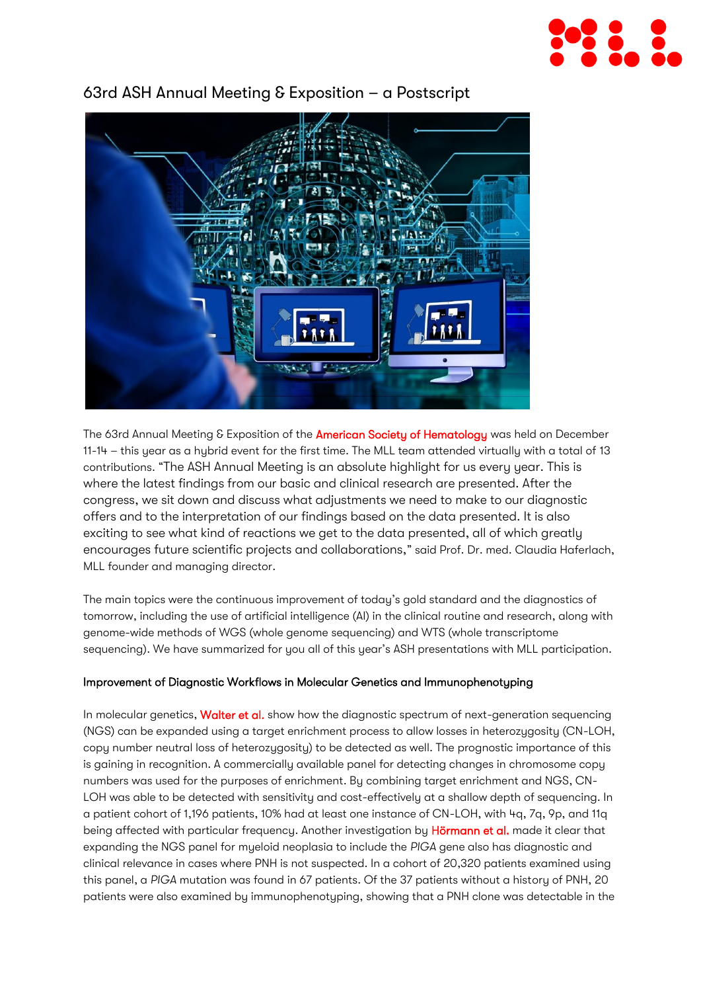



# 63rd ASH Annual Meeting & Exposition – a Postscript

The 63rd Annual Meeting & Exposition of the [American Society of Hematology](https://www.hematology.org/) was held on December 11-14 – this year as a hybrid event for the first time. The MLL team attended virtually with a total of 13 contributions. "The ASH Annual Meeting is an absolute highlight for us every year. This is where the latest findings from our basic and clinical research are presented. After the congress, we sit down and discuss what adjustments we need to make to our diagnostic offers and to the interpretation of our findings based on the data presented. It is also exciting to see what kind of reactions we get to the data presented, all of which greatly encourages future scientific projects and collaborations," said Prof. Dr. med. Claudia Haferlach, MLL founder and managing director.

The main topics were the continuous improvement of today's gold standard and the diagnostics of tomorrow, including the use of artificial intelligence (AI) in the clinical routine and research, along with genome-wide methods of WGS (whole genome sequencing) and WTS (whole transcriptome sequencing). We have summarized for you all of this year's ASH presentations with MLL participation.

#### Improvement of Diagnostic Workflows in Molecular Genetics and Immunophenotyping

In molecular genetics, [Walter et al.](https://ashpublications.org/blood/article/138/Supplement%201/2228/478738) show how the diagnostic spectrum of next-generation sequencing (NGS) can be expanded using a target enrichment process to allow losses in heterozygosity (CN-LOH, copy number neutral loss of heterozygosity) to be detected as well. The prognostic importance of this is gaining in recognition. A commercially available panel for detecting changes in chromosome copy numbers was used for the purposes of enrichment. By combining target enrichment and NGS, CN-LOH was able to be detected with sensitivity and cost-effectively at a shallow depth of sequencing. In a patient cohort of 1,196 patients, 10% had at least one instance of CN-LOH, with 4q, 7q, 9p, and 11q being affected with particular frequency. Another investigation by [Hörmann et al.](https://ashpublications.org/blood/article/138/Supplement%201/1117/480475/Incidential-Findings-of-Mutations-in-the-PIGA-Gene) made it clear that expanding the NGS panel for myeloid neoplasia to include the *PIGA* gene also has diagnostic and clinical relevance in cases where PNH is not suspected. In a cohort of 20,320 patients examined using this panel, a *PIGA* mutation was found in 67 patients. Of the 37 patients without a history of PNH, 20 patients were also examined by immunophenotyping, showing that a PNH clone was detectable in the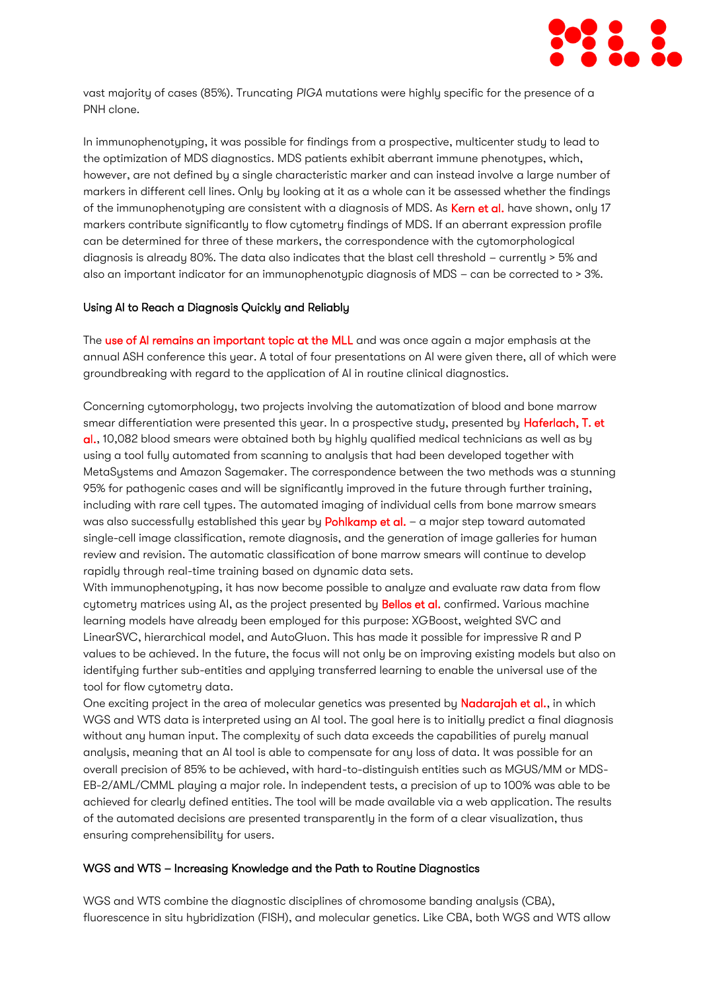

vast majority of cases (85%). Truncating *PIGA* mutations were highly specific for the presence of a PNH clone.

In immunophenotyping, it was possible for findings from a prospective, multicenter study to lead to the optimization of MDS diagnostics. MDS patients exhibit aberrant immune phenotypes, which, however, are not defined by a single characteristic marker and can instead involve a large number of markers in different cell lines. Only by looking at it as a whole can it be assessed whether the findings of the immunophenotyping are consistent with a diagnosis of MDS. As [Kern et al.](https://ashpublications.org/blood/article/138/Supplement%201/3995/481460/Multicenter-Prospective-Evaluation-of-Diagnostic) have shown, only 17 markers contribute significantly to flow cytometry findings of MDS. If an aberrant expression profile can be determined for three of these markers, the correspondence with the cutomorphological diagnosis is already 80%. The data also indicates that the blast cell threshold – currently > 5% and also an important indicator for an immunophenotypic diagnosis of MDS – can be corrected to > 3%.

#### Using AI to Reach a Diagnosis Quickly and Reliably

The [use of AI remains an important topic at the MLL](https://www.mll.com/aktuelles/magazin/mll-aktuell/automation-kuenstliche-intelligenz/mtlas-aerzte-und-kuenstliche-intelligenz-am-mll-ein-gutes-team.html) and was once again a major emphasis at the annual ASH conference this year. A total of four presentations on AI were given there, all of which were groundbreaking with regard to the application of AI in routine clinical diagnostics.

Concerning cytomorphology, two projects involving the automatization of blood and bone marrow smear differentiation were presented this year. In a prospective study, presented by **Haferlach, T. et** [al.,](https://ashpublications.org/blood/article/138/Supplement%201/103/477510) 10,082 blood smears were obtained both by highly qualified medical technicians as well as by using a tool fully automated from scanning to analysis that had been developed together with MetaSystems and Amazon Sagemaker. The correspondence between the two methods was a stunning 95% for pathogenic cases and will be significantly improved in the future through further training, including with rare cell types. The automated imaging of individual cells from bone marrow smears was also successfully established this year by [Pohlkamp et al.](https://ashpublications.org/blood/article/138/Supplement%201/4922/481964) - a major step toward automated single-cell image classification, remote diagnosis, and the generation of image galleries for human review and revision. The automatic classification of bone marrow smears will continue to develop rapidly through real-time training based on dynamic data sets.

With immunophenotyping, it has now become possible to analyze and evaluate raw data from flow cytometry matrices using AI, as the project presented by **Bellos et al.** confirmed. Various machine learning models have already been employed for this purpose: XGBoost, weighted SVC and LinearSVC, hierarchical model, and AutoGluon. This has made it possible for impressive R and P values to be achieved. In the future, the focus will not only be on improving existing models but also on identifying further sub-entities and applying transferred learning to enable the universal use of the tool for flow cytometry data.

One exciting project in the area of molecular genetics was presented by **Nadarajah et al.**, in which WGS and WTS data is interpreted using an AI tool. The goal here is to initially predict a final diagnosis without any human input. The complexity of such data exceeds the capabilities of purely manual analysis, meaning that an AI tool is able to compensate for any loss of data. It was possible for an overall precision of 85% to be achieved, with hard-to-distinguish entities such as MGUS/MM or MDS-EB-2/AML/CMML playing a major role. In independent tests, a precision of up to 100% was able to be achieved for clearly defined entities. The tool will be made available via a web application. The results of the automated decisions are presented transparently in the form of a clear visualization, thus ensuring comprehensibility for users.

#### WGS and WTS – Increasing Knowledge and the Path to Routine Diagnostics

WGS and WTS combine the diagnostic disciplines of chromosome banding analysis (CBA), fluorescence in situ hybridization (FISH), and molecular genetics. Like CBA, both WGS and WTS allow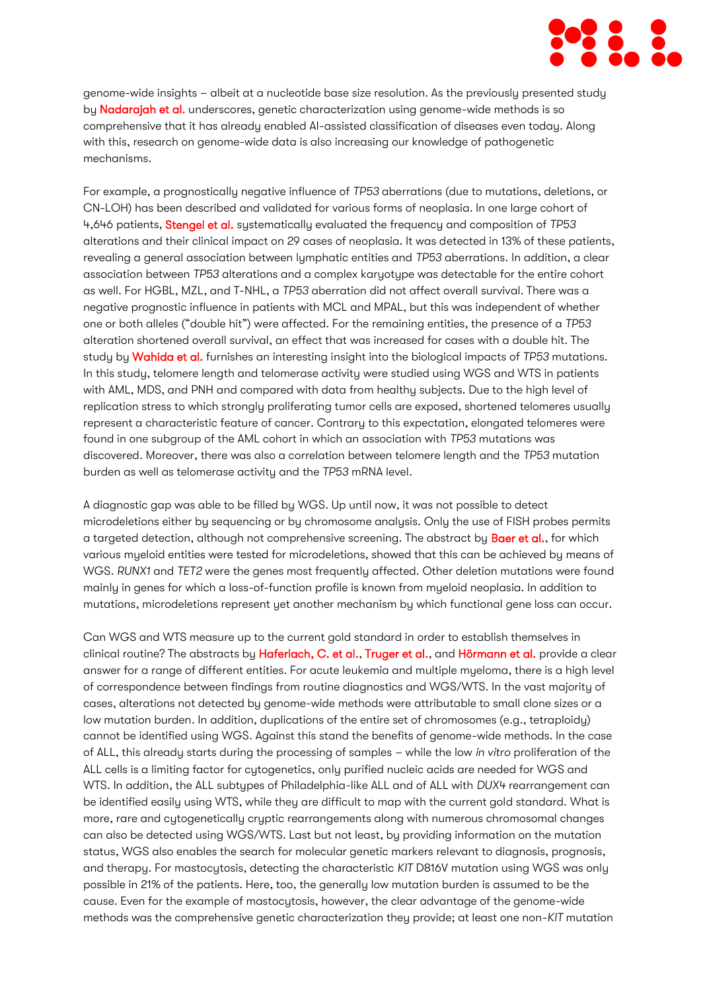

genome-wide insights – albeit at a nucleotide base size resolution. As the previously presented study by **Nadarajah et al.** underscores, genetic characterization using genome-wide methods is so comprehensive that it has already enabled AI-assisted classification of diseases even today. Along with this, research on genome-wide data is also increasing our knowledge of pathogenetic mechanisms.

For example, a prognostically negative influence of *TP53* aberrations (due to mutations, deletions, or CN-LOH) has been described and validated for various forms of neoplasia. In one large cohort of 4,646 patients, [Stengel et al.](https://ashpublications.org/blood/article/138/Supplement%201/2224/478760) systematically evaluated the frequency and composition of *TP53* alterations and their clinical impact on 29 cases of neoplasia. It was detected in 13% of these patients, revealing a general association between lymphatic entities and *TP53* aberrations*.* In addition, a clear association between *TP53* alterations and a complex karyotype was detectable for the entire cohort as well. For HGBL, MZL, and T-NHL, a *TP53* aberration did not affect overall survival. There was a negative prognostic influence in patients with MCL and MPAL, but this was independent of whether one or both alleles ("double hit") were affected. For the remaining entities, the presence of a *TP53*  alteration shortened overall survival, an effect that was increased for cases with a double hit. The study by [Wahida et al.](https://ashpublications.org/blood/article/138/Supplement%201/375/478237) furnishes an interesting insight into the biological impacts of *TP53* mutations. In this study, telomere length and telomerase activity were studied using WGS and WTS in patients with AML, MDS, and PNH and compared with data from healthy subjects. Due to the high level of replication stress to which strongly proliferating tumor cells are exposed, shortened telomeres usually represent a characteristic feature of cancer. Contrary to this expectation, elongated telomeres were found in one subgroup of the AML cohort in which an association with *TP53* mutations was discovered*.* Moreover, there was also a correlation between telomere length and the *TP53* mutation burden as well as telomerase activity and the *TP53* mRNA level*.*

A diagnostic gap was able to be filled by WGS. Up until now, it was not possible to detect microdeletions either by sequencing or by chromosome analysis. Only the use of FISH probes permits a targeted detection, although not comprehensive screening. The abstract by [Baer et al.,](https://ashpublications.org/blood/article/138/Supplement%201/3672/479796) for which various myeloid entities were tested for microdeletions, showed that this can be achieved by means of WGS. *RUNX1* and *TET2* were the genes most frequently affected. Other deletion mutations were found mainly in genes for which a loss-of-function profile is known from myeloid neoplasia. In addition to mutations, microdeletions represent yet another mechanism by which functional gene loss can occur.

Can WGS and WTS measure up to the current gold standard in order to establish themselves in clinical routine? The abstracts by [Haferlach, C. et al.,](https://ashpublications.org/blood/article/138/Supplement%201/273/479553) [Truger et al.,](https://ashpublications.org/blood/article/138/Supplement%201/397/478218) and [Hörmann et al.](https://ashpublications.org/blood/article/138/Supplement%201/1495/480091) provide a clear answer for a range of different entities. For acute leukemia and multiple myeloma, there is a high level of correspondence between findings from routine diagnostics and WGS/WTS. In the vast majority of cases, alterations not detected by genome-wide methods were attributable to small clone sizes or a low mutation burden. In addition, duplications of the entire set of chromosomes (e.g., tetraploidy) cannot be identified using WGS. Against this stand the benefits of genome-wide methods. In the case of ALL, this already starts during the processing of samples – while the low *in vitro* proliferation of the ALL cells is a limiting factor for cytogenetics, only purified nucleic acids are needed for WGS and WTS. In addition, the ALL subtypes of Philadelphia-like ALL and of ALL with *DUX4* rearrangement can be identified easily using WTS, while they are difficult to map with the current gold standard. What is more, rare and cytogenetically cryptic rearrangements along with numerous chromosomal changes can also be detected using WGS/WTS. Last but not least, by providing information on the mutation status, WGS also enables the search for molecular genetic markers relevant to diagnosis, prognosis, and therapy. For mastocytosis, detecting the characteristic *KIT* D816V mutation using WGS was only possible in 21% of the patients. Here, too, the generally low mutation burden is assumed to be the cause. Even for the example of mastocytosis, however, the clear advantage of the genome-wide methods was the comprehensive genetic characterization they provide; at least one non-*KIT* mutation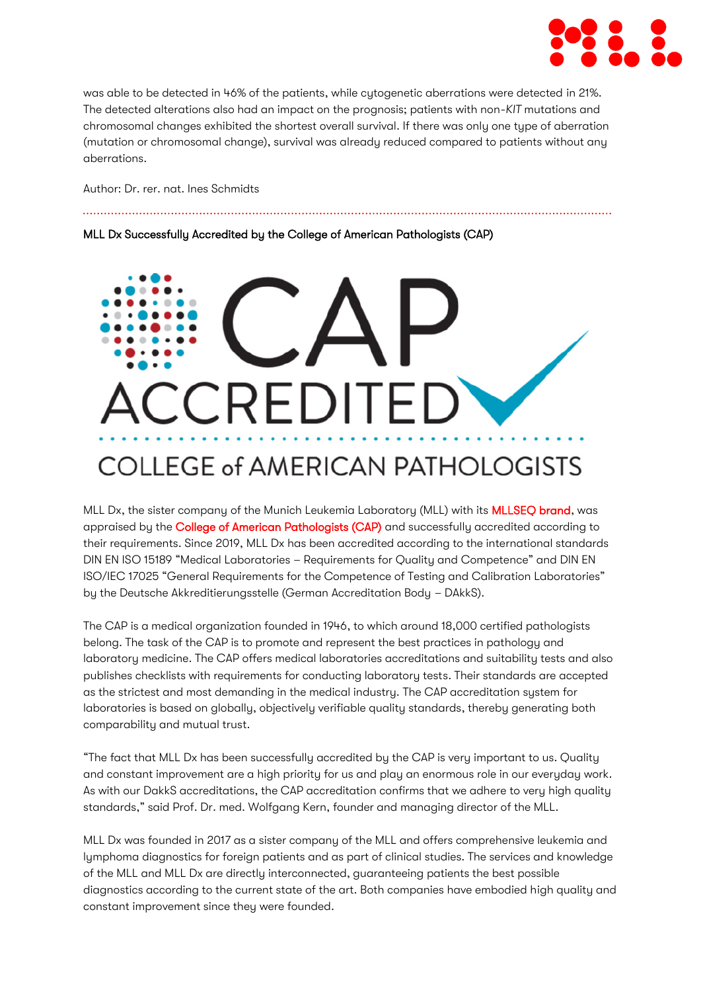

was able to be detected in 46% of the patients, while cytogenetic aberrations were detected in 21%. The detected alterations also had an impact on the prognosis; patients with non-*KIT* mutations and chromosomal changes exhibited the shortest overall survival. If there was only one type of aberration (mutation or chromosomal change), survival was already reduced compared to patients without any aberrations.

Author: Dr. rer. nat. Ines Schmidts

MLL Dx Successfully Accredited by the College of American Pathologists (CAP)

# **CREDITE** COLLEGE of AMERICAN PATHOLOGISTS

MLL Dx, the sister company of the Munich Leukemia Laboratory (MLL) with its [MLLSEQ brand,](http://www.mllseq.com/) was appraised by the [College of American Pathologists \(CAP\)](https://www.cap.org/) and successfully accredited according to their requirements. Since 2019, MLL Dx has been accredited according to the international standards DIN EN ISO 15189 "Medical Laboratories – Requirements for Quality and Competence" and DIN EN ISO/IEC 17025 "General Requirements for the Competence of Testing and Calibration Laboratories" by the Deutsche Akkreditierungsstelle (German Accreditation Body – DAkkS).

The CAP is a medical organization founded in 1946, to which around 18,000 certified pathologists belong. The task of the CAP is to promote and represent the best practices in pathology and laboratory medicine. The CAP offers medical laboratories accreditations and suitability tests and also publishes checklists with requirements for conducting laboratory tests. Their standards are accepted as the strictest and most demanding in the medical industry. The CAP accreditation system for laboratories is based on globally, objectively verifiable quality standards, thereby generating both comparability and mutual trust.

"The fact that MLL Dx has been successfully accredited by the CAP is very important to us. Quality and constant improvement are a high priority for us and play an enormous role in our everyday work. As with our DakkS accreditations, the CAP accreditation confirms that we adhere to very high quality standards," said Prof. Dr. med. Wolfgang Kern, founder and managing director of the MLL.

MLL Dx was founded in 2017 as a sister company of the MLL and offers comprehensive leukemia and lymphoma diagnostics for foreign patients and as part of clinical studies. The services and knowledge of the MLL and MLL Dx are directly interconnected, guaranteeing patients the best possible diagnostics according to the current state of the art. Both companies have embodied high quality and constant improvement since they were founded.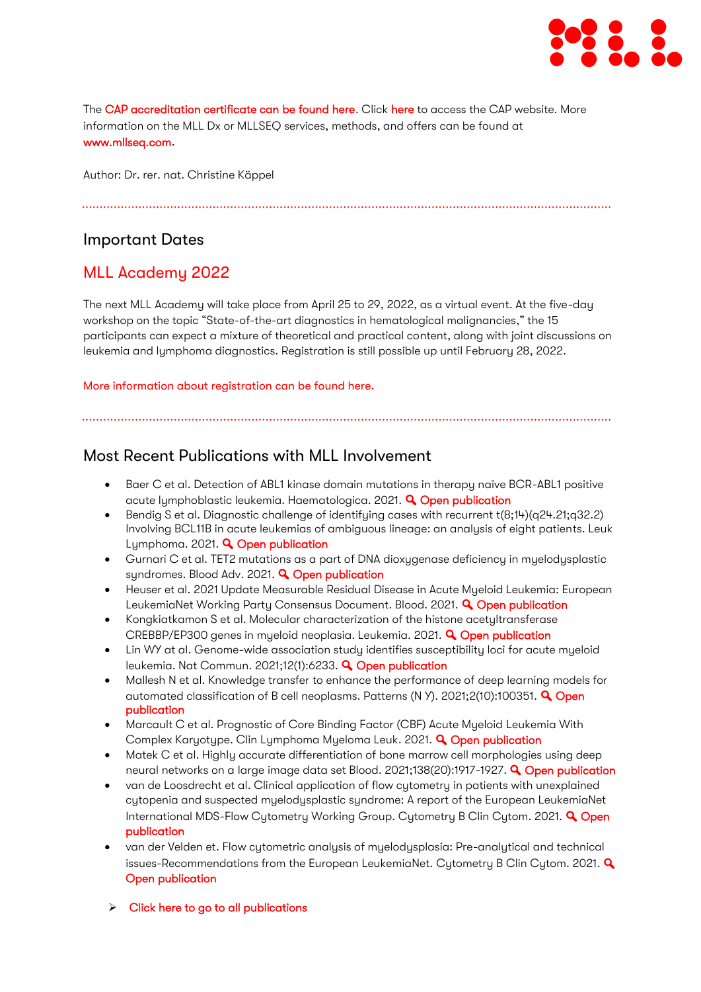

The [CAP accreditation certificate can be found here.](https://www.mll.com/Downloads_MLL/qualitaetsmanagement/MLL_Dx_CAP.pdf) Click [here](https://www.cap.org/) to access the CAP website. More information on the MLL Dx or MLLSEQ services, methods, and offers can be found at [www.mllseq.com.](http://www.mllseq.com/)

Author: Dr. rer. nat. Christine Käppel

## Important Dates

# MLL Academy 2022

The next MLL Academy will take place from April 25 to 29, 2022, as a virtual event. At the five-day workshop on the topic "State-of-the-art diagnostics in hematological malignancies," the 15 participants can expect a mixture of theoretical and practical content, along with joint discussions on leukemia and lymphoma diagnostics. Registration is still possible up until February 28, 2022.

[More information about registration can](https://www.mll.com/aktuelles/veranstaltung/mll-academy-2022.html) be found here.

## Most Recent Publications with MLL Involvement

- Baer C et al. Detection of ABL1 kinase domain mutations in therapy naïve BCR-ABL1 positive acute lymphoblastic leukemia. Haematologica. 2021. **Q [Open publication](https://pubmed.ncbi.nlm.nih.gov/34758608/)**
- Bendig S et al. Diagnostic challenge of identifying cases with recurrent t(8;14)(q24.21;q32.2) Involving BCL11B in acute leukemias of ambiguous lineage: an analysis of eight patients. Leuk Lymphoma. 2021. **Q [Open publication](https://pubmed.ncbi.nlm.nih.gov/34738838/)**
- Gurnari C et al. TET2 mutations as a part of DNA dioxygenase deficiency in myelodysplastic syndromes. Blood Adv. 2021. **Q [Open publication](https://pubmed.ncbi.nlm.nih.gov/34768283/)**
- Heuser et al. 2021 Update Measurable Residual Disease in Acute Myeloid Leukemia: European LeukemiaNet Working Party Consensus Document. Blood. 2021. **Q [Open publication](https://pubmed.ncbi.nlm.nih.gov/34724563/)**
- Kongkiatkamon S et al. Molecular characterization of the histone acetyltransferase CREBBP/EP300 genes in myeloid neoplasia. Leukemia. 2021. **Q [Open publication](https://pubmed.ncbi.nlm.nih.gov/34845315/)**
- Lin WY at al. Genome-wide association study identifies susceptibility loci for acute myeloid leukemia. Nat Commun. 2021;12(1):6233. **Q [Open publication](https://pubmed.ncbi.nlm.nih.gov/34716350/)**
- Mallesh N et al. Knowledge transfer to enhance the performance of deep learning models for automated classification of B cell neoplasms. Patterns (N Y). 2021;2(10):100351. **Q Open** [publication](https://pubmed.ncbi.nlm.nih.gov/34693376/)
- Marcault C et al. Prognostic of Core Binding Factor (CBF) Acute Myeloid Leukemia With Complex Karyotype. Clin Lymphoma Myeloma Leuk. 2021. **Q [Open publication](https://pubmed.ncbi.nlm.nih.gov/34674982/)**
- Matek C et al. Highly accurate differentiation of bone marrow cell morphologies using deep neural networks on a large image data set Blood. 2021:138(20):1917-1927. **Q [Open publication](https://pubmed.ncbi.nlm.nih.gov/34792573/)**
- van de Loosdrecht et al. Clinical application of flow cytometry in patients with unexplained cytopenia and suspected myelodysplastic syndrome: A report of the European LeukemiaNet International MDS-Flow Cytometry Working Group. Cytometry B Clin Cytom. 2021. **Q Open** [publication](https://pubmed.ncbi.nlm.nih.gov/34897979/)
- van der Velden et. Flow cytometric analysis of myelodysplasia: Pre-analytical and technical issues-Recommendations from the European LeukemiaNet. Cytometry B Clin Cytom. 2021.  $\mathbf Q$ [Open publication](https://pubmed.ncbi.nlm.nih.gov/34894176/)
- $\triangleright$  [Click here to go to all publications](https://www.mll.com/wissenschaft/forschungpublikationen.html)